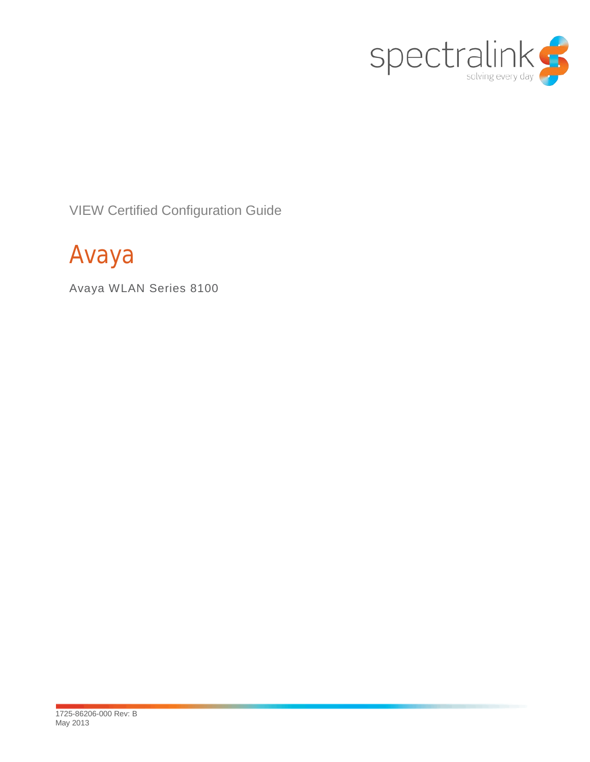

VIEW Certified Configuration Guide

# Avaya

Avaya WLAN Series 8100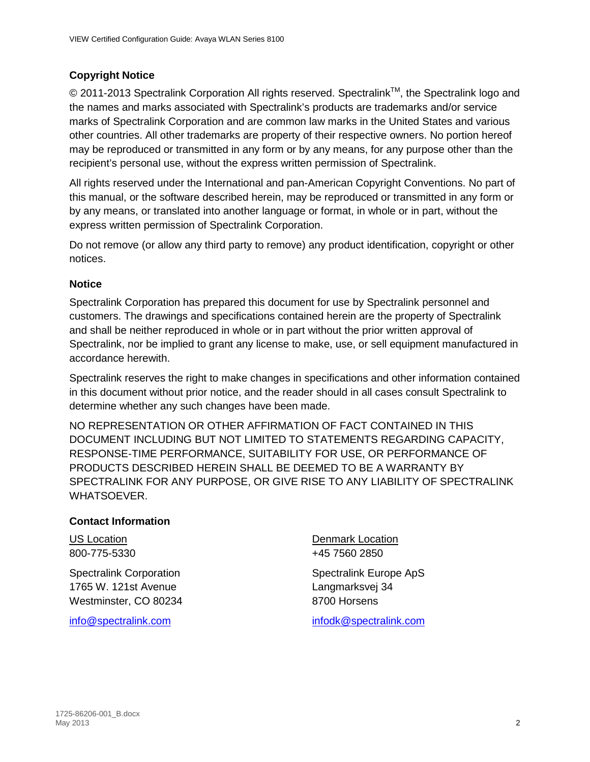### **Copyright Notice**

© 2011-2013 Spectralink Corporation All rights reserved. Spectralink™, the Spectralink logo and the names and marks associated with Spectralink's products are trademarks and/or service marks of Spectralink Corporation and are common law marks in the United States and various other countries. All other trademarks are property of their respective owners. No portion hereof may be reproduced or transmitted in any form or by any means, for any purpose other than the recipient's personal use, without the express written permission of Spectralink.

All rights reserved under the International and pan-American Copyright Conventions. No part of this manual, or the software described herein, may be reproduced or transmitted in any form or by any means, or translated into another language or format, in whole or in part, without the express written permission of Spectralink Corporation.

Do not remove (or allow any third party to remove) any product identification, copyright or other notices.

### **Notice**

Spectralink Corporation has prepared this document for use by Spectralink personnel and customers. The drawings and specifications contained herein are the property of Spectralink and shall be neither reproduced in whole or in part without the prior written approval of Spectralink, nor be implied to grant any license to make, use, or sell equipment manufactured in accordance herewith.

Spectralink reserves the right to make changes in specifications and other information contained in this document without prior notice, and the reader should in all cases consult Spectralink to determine whether any such changes have been made.

NO REPRESENTATION OR OTHER AFFIRMATION OF FACT CONTAINED IN THIS DOCUMENT INCLUDING BUT NOT LIMITED TO STATEMENTS REGARDING CAPACITY, RESPONSE-TIME PERFORMANCE, SUITABILITY FOR USE, OR PERFORMANCE OF PRODUCTS DESCRIBED HEREIN SHALL BE DEEMED TO BE A WARRANTY BY SPECTRALINK FOR ANY PURPOSE, OR GIVE RISE TO ANY LIABILITY OF SPECTRALINK WHATSOEVER.

#### **Contact Information**

Spectralink Corporation Spectralink Europe ApS 1765 W. 121st Avenue Langmarksvej 34 Westminster, CO 80234 8700 Horsens

US Location **Denmark Location** 800-775-5330 +45 7560 2850

[info@spectralink.com](mailto:info@spectralink.com) [infodk@spectralink.com](mailto:infodk@spectralink.com)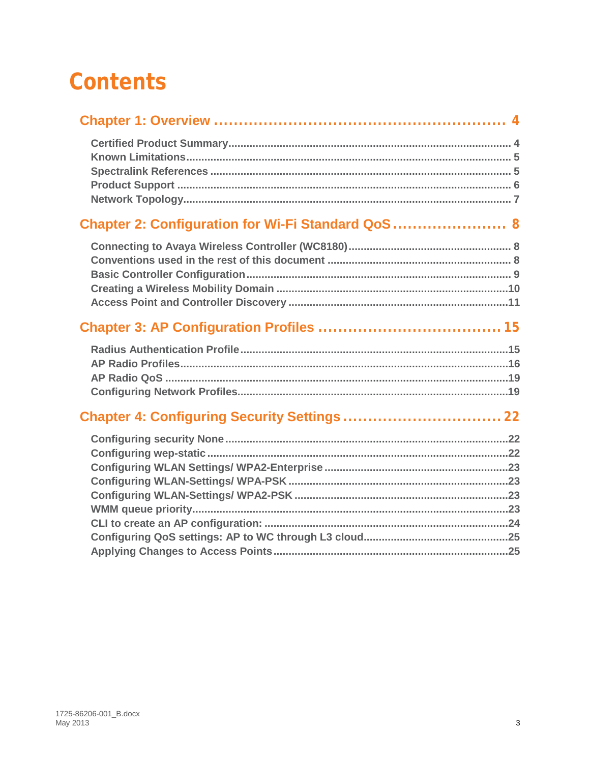# **Contents**

| Chapter 2: Configuration for Wi-Fi Standard QoS  8 |  |
|----------------------------------------------------|--|
|                                                    |  |
|                                                    |  |
|                                                    |  |
|                                                    |  |
|                                                    |  |
|                                                    |  |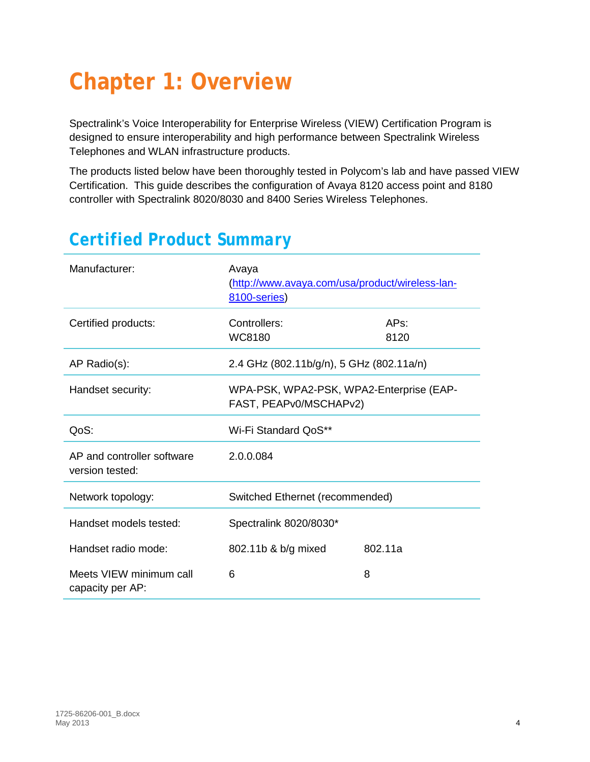# <span id="page-3-0"></span>**Chapter 1: Overview**

Spectralink's Voice Interoperability for Enterprise Wireless (VIEW) Certification Program is designed to ensure interoperability and high performance between Spectralink Wireless Telephones and WLAN infrastructure products.

The products listed below have been thoroughly tested in Polycom's lab and have passed VIEW Certification. This guide describes the configuration of Avaya 8120 access point and 8180 controller with Spectralink 8020/8030 and 8400 Series Wireless Telephones.

| Manufacturer:                                 | Avaya<br>(http://www.avaya.com/usa/product/wireless-lan-<br>8100-series) |              |
|-----------------------------------------------|--------------------------------------------------------------------------|--------------|
| Certified products:                           | Controllers:<br><b>WC8180</b>                                            | APs:<br>8120 |
| AP Radio(s):                                  | 2.4 GHz (802.11b/g/n), 5 GHz (802.11a/n)                                 |              |
| Handset security:                             | WPA-PSK, WPA2-PSK, WPA2-Enterprise (EAP-<br>FAST, PEAPv0/MSCHAPv2)       |              |
| QoS:                                          | Wi-Fi Standard QoS**                                                     |              |
| AP and controller software<br>version tested: | 2.0.0.084                                                                |              |
| Network topology:                             | Switched Ethernet (recommended)                                          |              |
| Handset models tested:                        | Spectralink 8020/8030*                                                   |              |
| Handset radio mode:                           | 802.11b & b/g mixed                                                      | 802.11a      |
| Meets VIEW minimum call<br>capacity per AP:   | 6                                                                        | 8            |

## <span id="page-3-1"></span>*Certified Product Summary*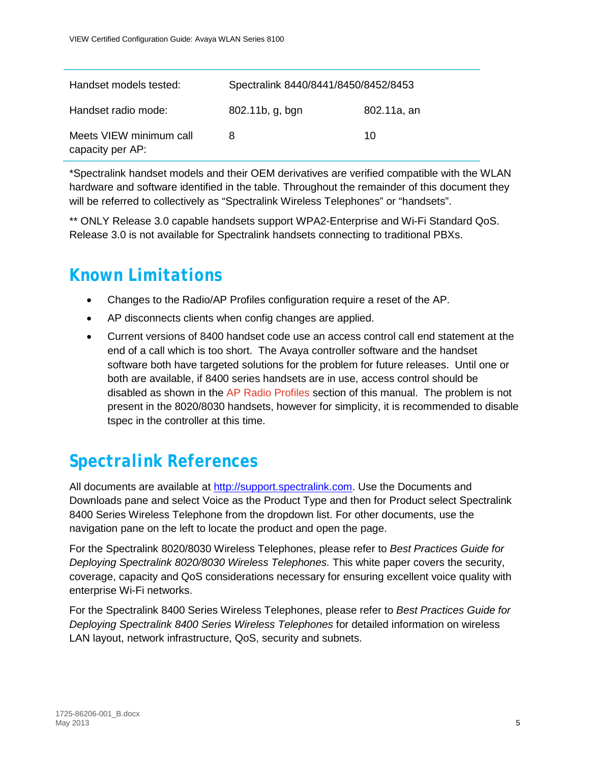| Handset models tested:                      | Spectralink 8440/8441/8450/8452/8453 |             |
|---------------------------------------------|--------------------------------------|-------------|
| Handset radio mode:                         | 802.11b, g, bgn                      | 802.11a, an |
| Meets VIEW minimum call<br>capacity per AP: | 8                                    | 10          |

\*Spectralink handset models and their OEM derivatives are verified compatible with the WLAN hardware and software identified in the table. Throughout the remainder of this document they will be referred to collectively as "Spectralink Wireless Telephones" or "handsets".

\*\* ONLY Release 3.0 capable handsets support WPA2-Enterprise and Wi-Fi Standard QoS. Release 3.0 is not available for Spectralink handsets connecting to traditional PBXs.

### <span id="page-4-0"></span>*Known Limitations*

- Changes to the Radio/AP Profiles configuration require a reset of the AP.
- AP disconnects clients when config changes are applied.
- Current versions of 8400 handset code use an access control call end statement at the end of a call which is too short. The Avaya controller software and the handset software both have targeted solutions for the problem for future releases. Until one or both are available, if 8400 series handsets are in use, access control should be disabled as shown in the [AP Radio Profiles](#page-15-0) section of this manual. The problem is not present in the 8020/8030 handsets, however for simplicity, it is recommended to disable tspec in the controller at this time.

## <span id="page-4-1"></span>*Spectralink References*

All documents are available at [http://support.spectralink.com.](http://support.spectralink.com/) Use the Documents and Downloads pane and select Voice as the Product Type and then for Product select Spectralink 8400 Series Wireless Telephone from the dropdown list. For other documents, use the navigation pane on the left to locate the product and open the page.

For the Spectralink 8020/8030 Wireless Telephones, please refer to *Best Practices Guide for Deploying Spectralink 8020/8030 Wireless Telephones.* This white paper covers the security, coverage, capacity and QoS considerations necessary for ensuring excellent voice quality with enterprise Wi-Fi networks.

For the Spectralink 8400 Series Wireless Telephones, please refer to *Best Practices Guide for Deploying Spectralink 8400 Series Wireless Telephones* for detailed information on wireless LAN layout, network infrastructure, QoS, security and subnets.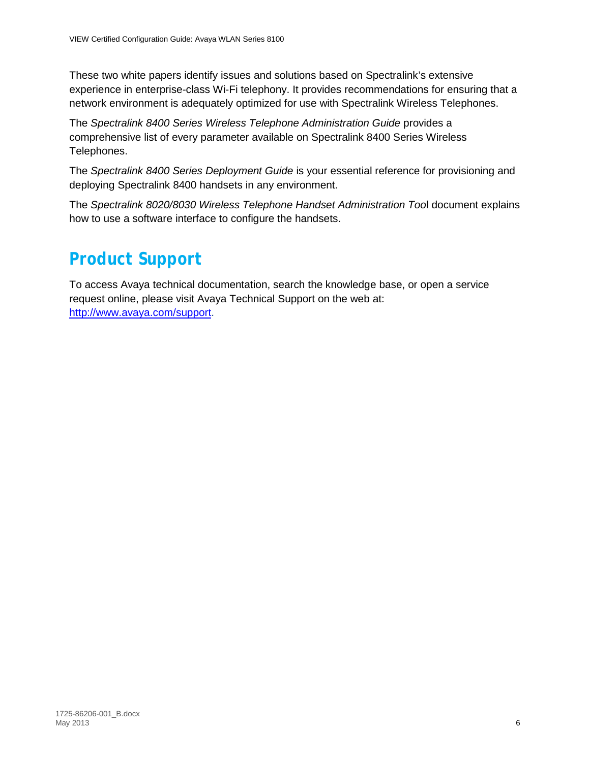These two white papers identify issues and solutions based on Spectralink's extensive experience in enterprise-class Wi-Fi telephony. It provides recommendations for ensuring that a network environment is adequately optimized for use with Spectralink Wireless Telephones.

The *Spectralink 8400 Series Wireless Telephone Administration Guide* provides a comprehensive list of every parameter available on Spectralink 8400 Series Wireless Telephones.

The *Spectralink 8400 Series Deployment Guide* is your essential reference for provisioning and deploying Spectralink 8400 handsets in any environment.

The *Spectralink 8020/8030 Wireless Telephone Handset Administration Too*l document explains how to use a software interface to configure the handsets.

## <span id="page-5-0"></span>*Product Support*

To access Avaya technical documentation, search the knowledge base, or open a service request online, please visit Avaya Technical Support on the web at: [http://www.avaya.com/support.](http://www.avaya.com/support)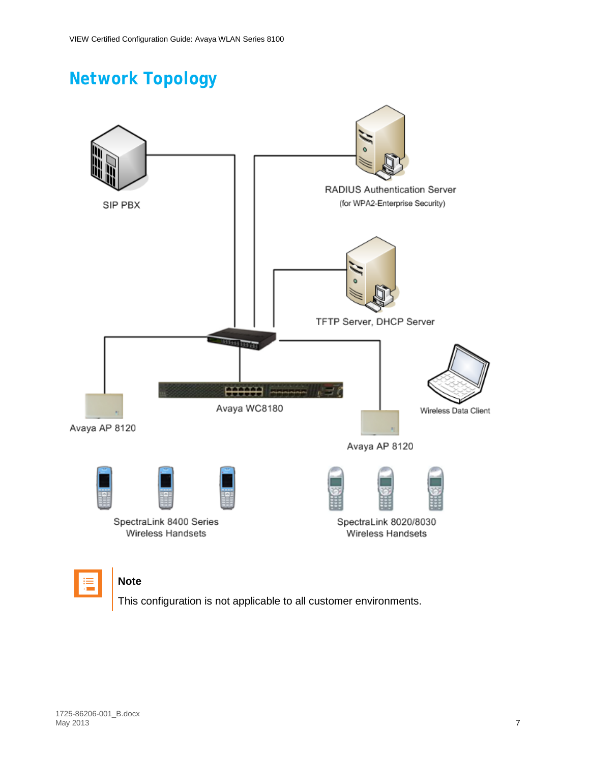# <span id="page-6-0"></span>*Network Topology*





### **Note**

This configuration is not applicable to all customer environments.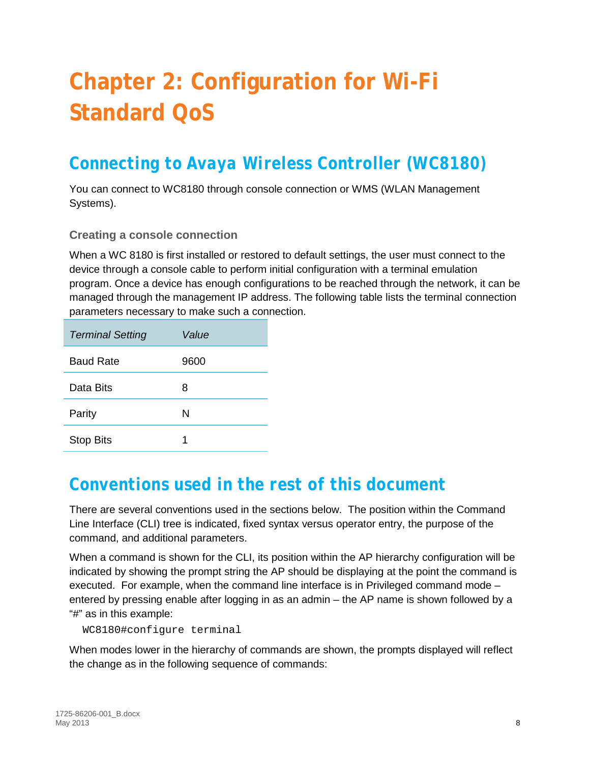# <span id="page-7-0"></span>**Chapter 2: Configuration for Wi-Fi Standard QoS**

## <span id="page-7-1"></span>*Connecting to Avaya Wireless Controller (WC8180)*

You can connect to WC8180 through console connection or WMS (WLAN Management Systems).

### **Creating a console connection**

When a WC 8180 is first installed or restored to default settings, the user must connect to the device through a console cable to perform initial configuration with a terminal emulation program. Once a device has enough configurations to be reached through the network, it can be managed through the management IP address. The following table lists the terminal connection parameters necessary to make such a connection.

| <b>Terminal Setting</b> | Value |
|-------------------------|-------|
| <b>Baud Rate</b>        | 9600  |
| Data Bits               | 8     |
| Parity                  | N     |
| <b>Stop Bits</b>        | 1     |

### <span id="page-7-2"></span>*Conventions used in the rest of this document*

There are several conventions used in the sections below. The position within the Command Line Interface (CLI) tree is indicated, fixed syntax versus operator entry, the purpose of the command, and additional parameters.

When a command is shown for the CLI, its position within the AP hierarchy configuration will be indicated by showing the prompt string the AP should be displaying at the point the command is executed. For example, when the command line interface is in Privileged command mode – entered by pressing enable after logging in as an admin – the AP name is shown followed by a "#" as in this example:

WC8180#configure terminal

When modes lower in the hierarchy of commands are shown, the prompts displayed will reflect the change as in the following sequence of commands: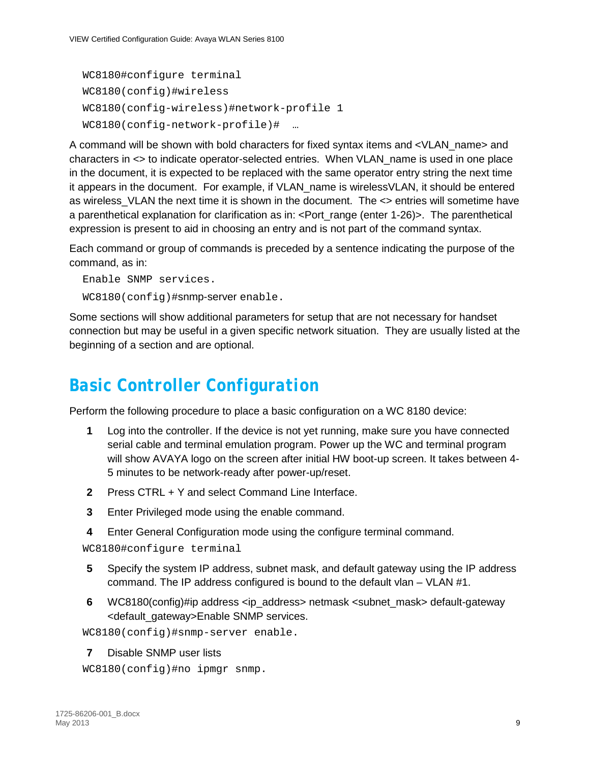```
WC8180#configure terminal
WC8180(config)#wireless
WC8180(config-wireless)#network-profile 1
WC8180(config-network-profile)# …
```
A command will be shown with bold characters for fixed syntax items and <VLAN\_name> and characters in <> to indicate operator-selected entries. When VLAN\_name is used in one place in the document, it is expected to be replaced with the same operator entry string the next time it appears in the document. For example, if VLAN\_name is wirelessVLAN, it should be entered as wireless\_VLAN the next time it is shown in the document. The <> entries will sometime have a parenthetical explanation for clarification as in: <Port\_range (enter 1-26)>. The parenthetical expression is present to aid in choosing an entry and is not part of the command syntax.

Each command or group of commands is preceded by a sentence indicating the purpose of the command, as in:

Enable SNMP services. WC8180(config)#snmp-server enable.

Some sections will show additional parameters for setup that are not necessary for handset connection but may be useful in a given specific network situation. They are usually listed at the beginning of a section and are optional.

### <span id="page-8-0"></span>*Basic Controller Configuration*

Perform the following procedure to place a basic configuration on a WC 8180 device:

- **1** Log into the controller. If the device is not yet running, make sure you have connected serial cable and terminal emulation program. Power up the WC and terminal program will show AVAYA logo on the screen after initial HW boot-up screen. It takes between 4- 5 minutes to be network-ready after power-up/reset.
- **2** Press CTRL + Y and select Command Line Interface.
- **3** Enter Privileged mode using the enable command.
- **4** Enter General Configuration mode using the configure terminal command.

```
WC8180#configure terminal
```
- **5** Specify the system IP address, subnet mask, and default gateway using the IP address command. The IP address configured is bound to the default vlan – VLAN #1.
- **6** WC8180(config)#ip address <ip\_address> netmask <subnet\_mask> default-gateway <default\_gateway>Enable SNMP services.

WC8180(config)#snmp-server enable.

**7** Disable SNMP user lists

```
WC8180(config)#no ipmgr snmp.
```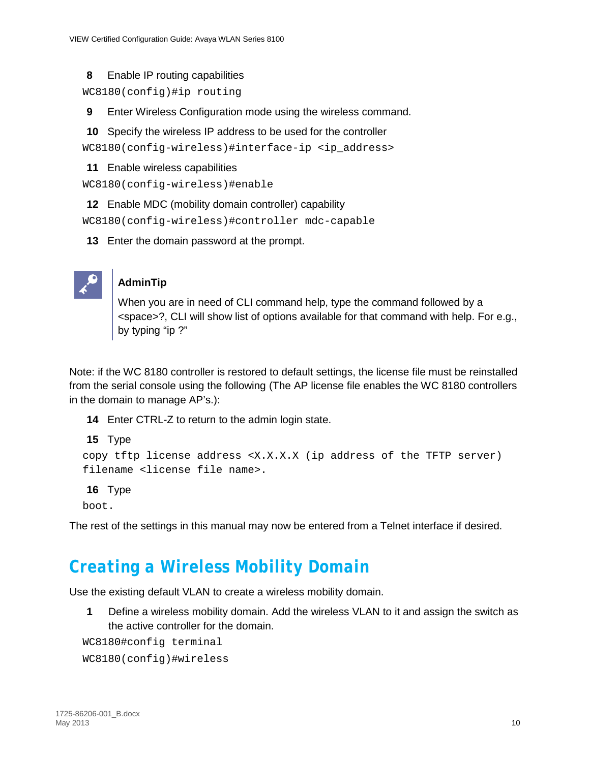### **8** Enable IP routing capabilities

WC8180(config)#ip routing

- **9** Enter Wireless Configuration mode using the wireless command.
- **10** Specify the wireless IP address to be used for the controller

WC8180(config-wireless)#interface-ip <ip\_address>

**11** Enable wireless capabilities

```
WC8180(config-wireless)#enable
```
**12** Enable MDC (mobility domain controller) capability

WC8180(config-wireless)#controller mdc-capable

**13** Enter the domain password at the prompt.



### **AdminTip**

When you are in need of CLI command help, type the command followed by a <space>?, CLI will show list of options available for that command with help. For e.g., by typing "ip ?"

Note: if the WC 8180 controller is restored to default settings, the license file must be reinstalled from the serial console using the following (The AP license file enables the WC 8180 controllers in the domain to manage AP's.):

**14** Enter CTRL-Z to return to the admin login state.

```
15 Type
```

```
copy tftp license address <X.X.X.X (ip address of the TFTP server) 
filename <license file name>.
```
#### **16** Type

boot.

<span id="page-9-0"></span>The rest of the settings in this manual may now be entered from a Telnet interface if desired.

### *Creating a Wireless Mobility Domain*

Use the existing default VLAN to create a wireless mobility domain.

**1** Define a wireless mobility domain. Add the wireless VLAN to it and assign the switch as the active controller for the domain.

WC8180#config terminal

WC8180(config)#wireless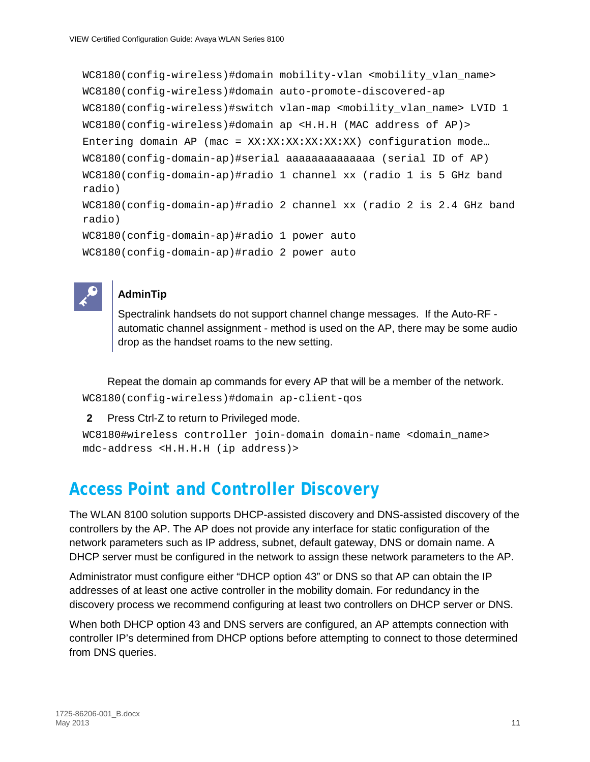```
WC8180(config-wireless)#domain mobility-vlan <mobility_vlan_name>
WC8180(config-wireless)#domain auto-promote-discovered-ap
WC8180(config-wireless)#switch vlan-map <mobility_vlan_name> LVID 1
WC8180(config-wireless)#domain ap <H.H.H (MAC address of AP)>
Entering domain AP (mac = XX:XX:XX:XX:XX:XX) configuration mode…
WC8180(config-domain-ap)#serial aaaaaaaaaaaaaa (serial ID of AP)
WC8180(config-domain-ap)#radio 1 channel xx (radio 1 is 5 GHz band 
radio)
WC8180(config-domain-ap)#radio 2 channel xx (radio 2 is 2.4 GHz band 
radio)
WC8180(config-domain-ap)#radio 1 power auto
WC8180(config-domain-ap)#radio 2 power auto
```


### **AdminTip**

Spectralink handsets do not support channel change messages. If the Auto-RF automatic channel assignment - method is used on the AP, there may be some audio drop as the handset roams to the new setting.

Repeat the domain ap commands for every AP that will be a member of the network. WC8180(config-wireless)#domain ap-client-qos

```
2 Press Ctrl-Z to return to Privileged mode.
```

```
WC8180#wireless controller join-domain domain-name <domain_name> 
mdc-address <H.H.H.H (ip address)>
```
## <span id="page-10-0"></span>*Access Point and Controller Discovery*

The WLAN 8100 solution supports DHCP-assisted discovery and DNS-assisted discovery of the controllers by the AP. The AP does not provide any interface for static configuration of the network parameters such as IP address, subnet, default gateway, DNS or domain name. A DHCP server must be configured in the network to assign these network parameters to the AP.

Administrator must configure either "DHCP option 43" or DNS so that AP can obtain the IP addresses of at least one active controller in the mobility domain. For redundancy in the discovery process we recommend configuring at least two controllers on DHCP server or DNS.

When both DHCP option 43 and DNS servers are configured, an AP attempts connection with controller IP's determined from DHCP options before attempting to connect to those determined from DNS queries.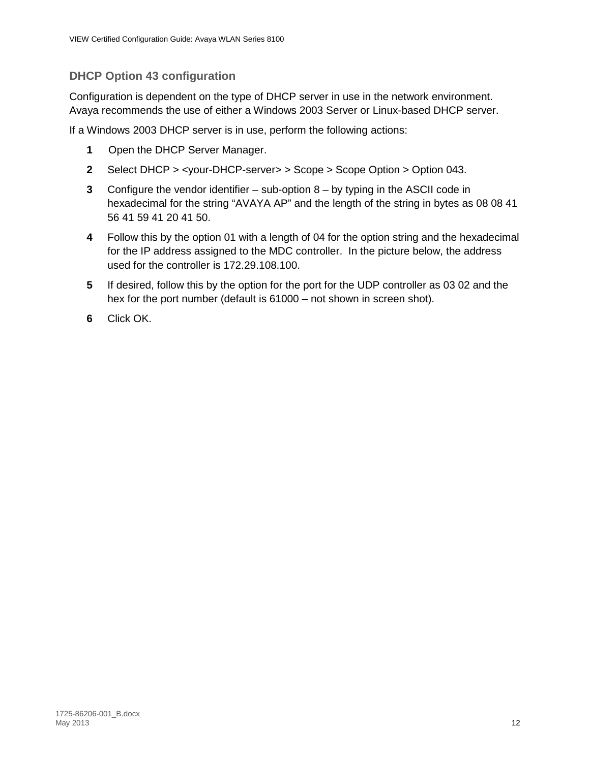### **DHCP Option 43 configuration**

Configuration is dependent on the type of DHCP server in use in the network environment. Avaya recommends the use of either a Windows 2003 Server or Linux-based DHCP server.

If a Windows 2003 DHCP server is in use, perform the following actions:

- **1** Open the DHCP Server Manager.
- **2** Select DHCP > <your-DHCP-server> > Scope > Scope Option > Option 043.
- **3** Configure the vendor identifier sub-option 8 by typing in the ASCII code in hexadecimal for the string "AVAYA AP" and the length of the string in bytes as 08 08 41 56 41 59 41 20 41 50.
- **4** Follow this by the option 01 with a length of 04 for the option string and the hexadecimal for the IP address assigned to the MDC controller. In the picture below, the address used for the controller is 172.29.108.100.
- **5** If desired, follow this by the option for the port for the UDP controller as 03 02 and the hex for the port number (default is 61000 – not shown in screen shot).
- **6** Click OK.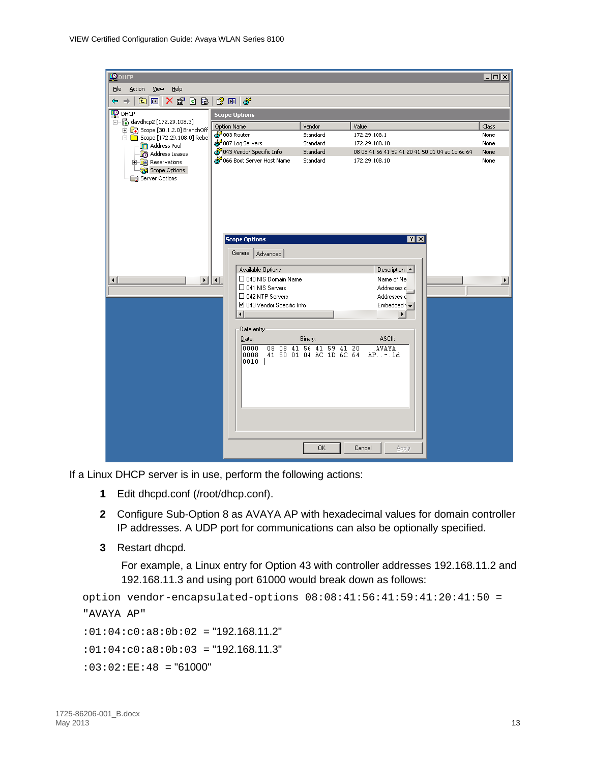| <b>CO</b> DHCP                                                                                                          |                                                                                                                                                                                                                                                                                                                                                                                                                                                                                                                                                                                      | $\Box$ o $\mathbf{X}$         |
|-------------------------------------------------------------------------------------------------------------------------|--------------------------------------------------------------------------------------------------------------------------------------------------------------------------------------------------------------------------------------------------------------------------------------------------------------------------------------------------------------------------------------------------------------------------------------------------------------------------------------------------------------------------------------------------------------------------------------|-------------------------------|
| Eile<br>Action<br>Help<br>View                                                                                          |                                                                                                                                                                                                                                                                                                                                                                                                                                                                                                                                                                                      |                               |
| $\ln N$ of $\ln N$<br>$\Rightarrow$<br>⇔                                                                                | $2 \mathbb{Z} \times \mathbb{Z}$                                                                                                                                                                                                                                                                                                                                                                                                                                                                                                                                                     |                               |
| $\mathbf{Q}$ DHCP                                                                                                       | <b>Scope Options</b>                                                                                                                                                                                                                                                                                                                                                                                                                                                                                                                                                                 |                               |
| 白 6 davdhcp2 [172.29.108.3]                                                                                             | Vendor<br>Value<br>Option Name                                                                                                                                                                                                                                                                                                                                                                                                                                                                                                                                                       | Class                         |
| Dec [30.1.2.0] BranchOff<br>□ Scope [172.29.108.0] Rebe                                                                 | s 003 Router<br>Standard<br>172.29.108.1                                                                                                                                                                                                                                                                                                                                                                                                                                                                                                                                             | None                          |
| <b>FR</b> Address Pool                                                                                                  | 007 Log Servers<br>Standard<br>172.29.108.10                                                                                                                                                                                                                                                                                                                                                                                                                                                                                                                                         | None                          |
| Address Leases                                                                                                          | දුම් 043 Vendor Specific Info<br>Standard<br>08 08 41 56 41 59 41 20 41 50 01 04 ac 1d 6c 64                                                                                                                                                                                                                                                                                                                                                                                                                                                                                         | None                          |
| <b>E</b> la Reservations<br>Scope Options<br><b>B</b> Server Options<br>$\blacktriangleright$<br>$\left  \cdot \right $ | & 066 Boot Server Host Name<br>Standard<br>172.29.108.10<br>7x<br><b>Scope Options</b><br>General Advanced<br>Available Options<br>Description $\blacktriangle$<br>□ 040 NIS Domain Name<br>Name of Ne<br>$  \cdot  $<br>$\square$ 041 NIS Servers<br>Addresses c<br>$\Box$ 042 NTP Servers<br>Addresses d<br>■ 043 Vendor Specific Info<br>Embedded $\sqrt{}$<br>⊣∣<br>$\blacktriangleright$<br>Data entry:<br>ASCII:<br>Binary:<br>Data:<br>08 08 41 56 41 59 41 20<br>. . AVAYA<br>0000<br>41 50 01 04 AC 1D 6C 64<br>10008<br>$AP. . - . 1d$<br> 0010  <br>0K<br>Cancel<br>Apply | None<br>$\blacktriangleright$ |

If a Linux DHCP server is in use, perform the following actions:

- **1** Edit dhcpd.conf (/root/dhcp.conf).
- **2** Configure Sub-Option 8 as AVAYA AP with hexadecimal values for domain controller IP addresses. A UDP port for communications can also be optionally specified.
- **3** Restart dhcpd.

For example, a Linux entry for Option 43 with controller addresses 192.168.11.2 and 192.168.11.3 and using port 61000 would break down as follows:

```
option vendor-encapsulated-options 08:08:41:56:41:59:41:20:41:50 =
"AVAYA AP"
```
 $:01:04:c0:a8:0b:02 = "192.168.11.2"$ 

 $:01:04:c0:ab:0b:03 = "192.168.11.3"$ 

 $:03:02:EE:48 = "61000"$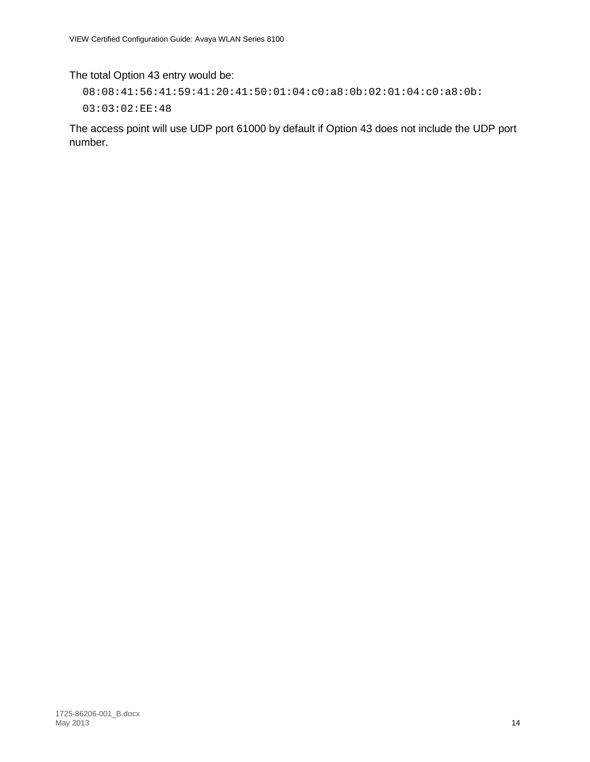### The total Option 43 entry would be:

```
08:08:41:56:41:59:41:20:41:50:01:04:c0:a8:0b:02:01:04:c0:a8:0b:
```
03:03:02:EE:48

The access point will use UDP port 61000 by default if Option 43 does not include the UDP port number.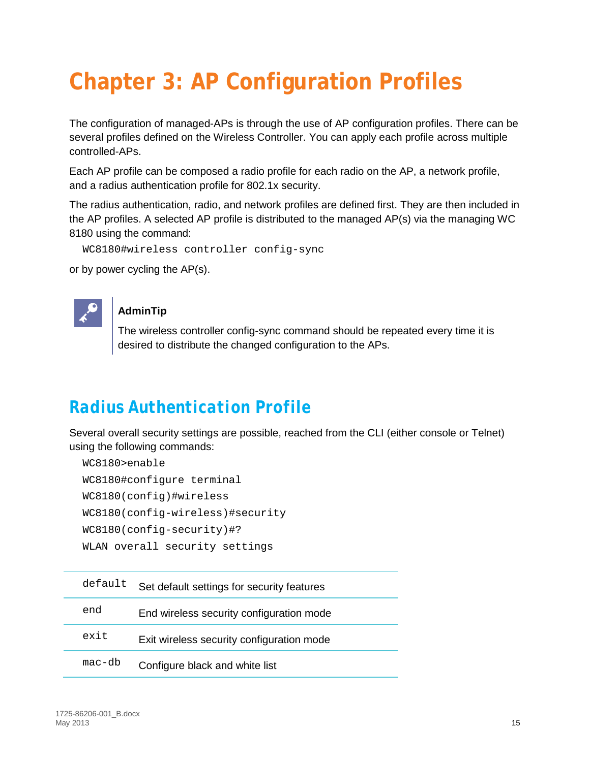# <span id="page-14-0"></span>**Chapter 3: AP Configuration Profiles**

The configuration of managed-APs is through the use of AP configuration profiles. There can be several profiles defined on the Wireless Controller. You can apply each profile across multiple controlled-APs.

Each AP profile can be composed a radio profile for each radio on the AP, a network profile, and a radius authentication profile for 802.1x security.

The radius authentication, radio, and network profiles are defined first. They are then included in the AP profiles. A selected AP profile is distributed to the managed AP(s) via the managing WC 8180 using the command:

```
WC8180#wireless controller config-sync
```
or by power cycling the AP(s).



### **AdminTip**

The wireless controller config-sync command should be repeated every time it is desired to distribute the changed configuration to the APs.

### <span id="page-14-1"></span>*Radius Authentication Profile*

Several overall security settings are possible, reached from the CLI (either console or Telnet) using the following commands:

```
WC8180>enable
WC8180#configure terminal
WC8180(config)#wireless
WC8180(config-wireless)#security
WC8180(config-security)#?
WLAN overall security settings
```

| default | Set default settings for security features |
|---------|--------------------------------------------|
| end     | End wireless security configuration mode   |
| exit    | Exit wireless security configuration mode  |
| mac-db  | Configure black and white list             |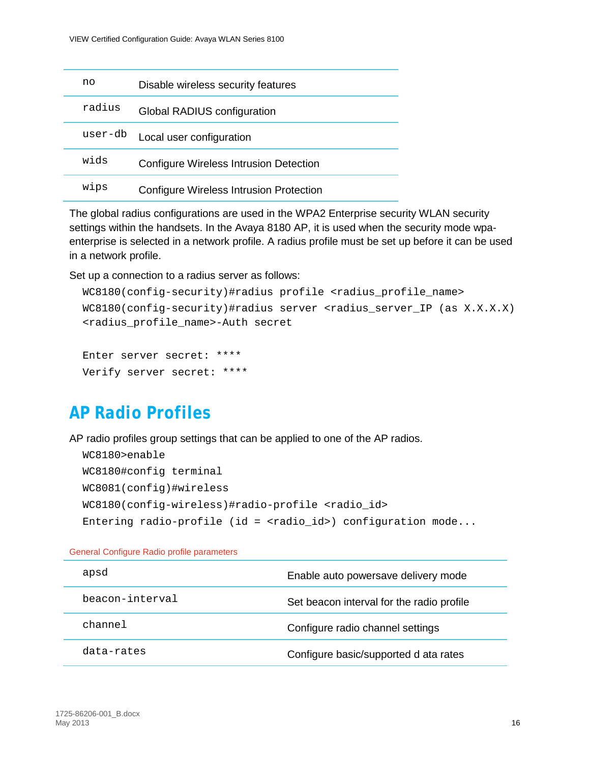| no      | Disable wireless security features      |
|---------|-----------------------------------------|
| radius  | Global RADIUS configuration             |
| user-db | Local user configuration                |
| wids    | Configure Wireless Intrusion Detection  |
| wips    | Configure Wireless Intrusion Protection |

The global radius configurations are used in the WPA2 Enterprise security WLAN security settings within the handsets. In the Avaya 8180 AP, it is used when the security mode wpaenterprise is selected in a network profile. A radius profile must be set up before it can be used in a network profile.

Set up a connection to a radius server as follows:

```
WC8180(config-security)#radius profile <radius profile name>
WCS180(config-security)#radius server <radius server IP (as X.X.X.X)
<radius_profile_name>-Auth secret
```

```
Enter server secret: ****
Verify server secret: ****
```
### <span id="page-15-0"></span>*AP Radio Profiles*

AP radio profiles group settings that can be applied to one of the AP radios.

```
WC8180>enable
WC8180#config terminal
WC8081(config)#wireless
WC8180(config-wireless)#radio-profile <radio id>
Entering radio-profile (id = <radio_id>) configuration mode...
```
General Configure Radio profile parameters

| apsd            | Enable auto powersave delivery mode       |
|-----------------|-------------------------------------------|
| beacon-interval | Set beacon interval for the radio profile |
| channel         | Configure radio channel settings          |
| data-rates      | Configure basic/supported d ata rates     |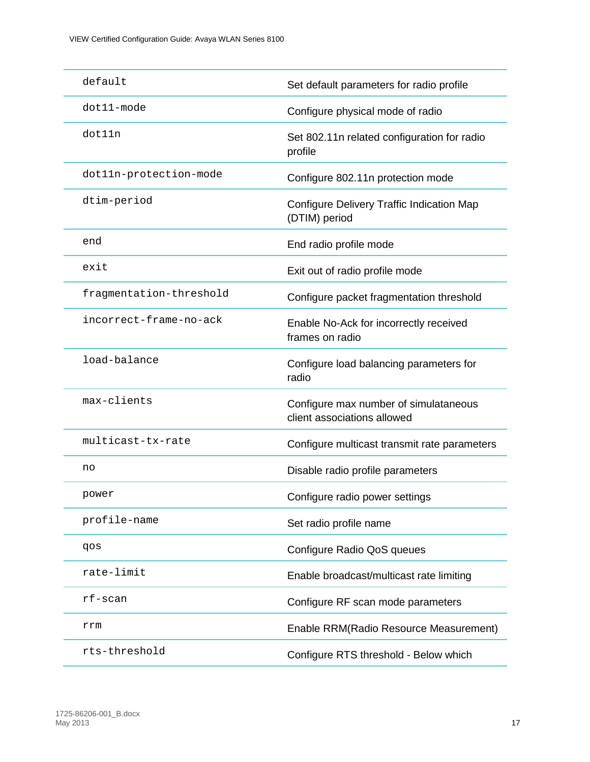| default                 | Set default parameters for radio profile                             |
|-------------------------|----------------------------------------------------------------------|
| dot11-mode              | Configure physical mode of radio                                     |
| dot11n                  | Set 802.11n related configuration for radio<br>profile               |
| dot11n-protection-mode  | Configure 802.11n protection mode                                    |
| dtim-period             | Configure Delivery Traffic Indication Map<br>(DTIM) period           |
| end                     | End radio profile mode                                               |
| exit                    | Exit out of radio profile mode                                       |
| fragmentation-threshold | Configure packet fragmentation threshold                             |
| incorrect-frame-no-ack  | Enable No-Ack for incorrectly received<br>frames on radio            |
| load-balance            | Configure load balancing parameters for<br>radio                     |
| max-clients             | Configure max number of simulataneous<br>client associations allowed |
| multicast-tx-rate       | Configure multicast transmit rate parameters                         |
| no                      | Disable radio profile parameters                                     |
| power                   | Configure radio power settings                                       |
| profile-name            | Set radio profile name                                               |
| qos                     | Configure Radio QoS queues                                           |
| rate-limit              | Enable broadcast/multicast rate limiting                             |
| $rf$ -scan              | Configure RF scan mode parameters                                    |
| rrm                     | Enable RRM(Radio Resource Measurement)                               |
| rts-threshold           | Configure RTS threshold - Below which                                |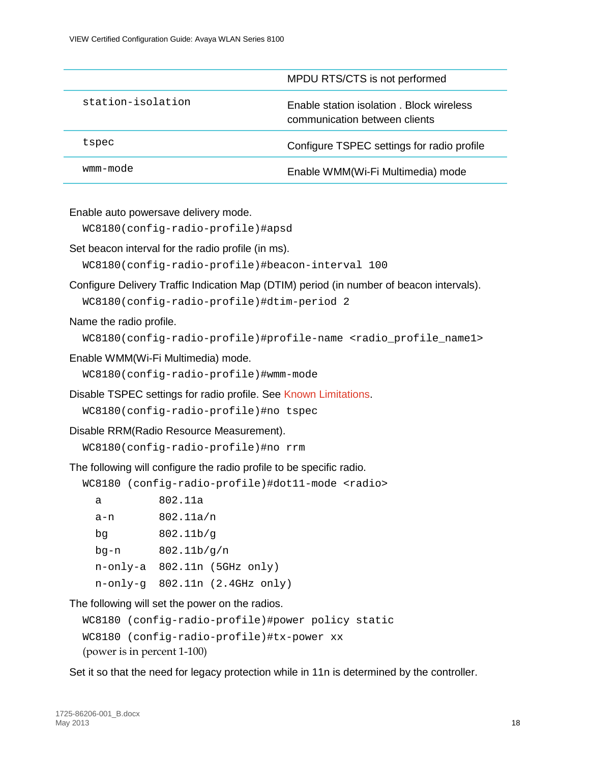|                   | MPDU RTS/CTS is not performed                                             |
|-------------------|---------------------------------------------------------------------------|
| station-isolation | Enable station isolation, Block wireless<br>communication between clients |
| tspec             | Configure TSPEC settings for radio profile                                |
| wmm-mode          | Enable WMM(Wi-Fi Multimedia) mode                                         |

Enable auto powersave delivery mode.

WC8180(config-radio-profile)#apsd

Set beacon interval for the radio profile (in ms).

WC8180(config-radio-profile)#beacon-interval 100

Configure Delivery Traffic Indication Map (DTIM) period (in number of beacon intervals).

WC8180(config-radio-profile)#dtim-period 2

Name the radio profile.

WC8180(config-radio-profile)#profile-name <radio\_profile\_name1>

Enable WMM(Wi-Fi Multimedia) mode.

WC8180(config-radio-profile)#wmm-mode

Disable TSPEC settings for radio profile. See [Known Limitations.](#page-4-0)

WC8180(config-radio-profile)#no tspec

Disable RRM(Radio Resource Measurement).

WC8180(config-radio-profile)#no rrm

The following will configure the radio profile to be specific radio.

WC8180 (config-radio-profile)#dot11-mode <radio> a 802.11a a-n 802.11a/n bg 802.11b/g bg-n 802.11b/g/n n-only-a 802.11n (5GHz only) n-only-g 802.11n (2.4GHz only)

The following will set the power on the radios.

```
WC8180 (config-radio-profile)#power policy static
WC8180 (config-radio-profile)#tx-power xx 
(power is in percent 1-100)
```
Set it so that the need for legacy protection while in 11n is determined by the controller.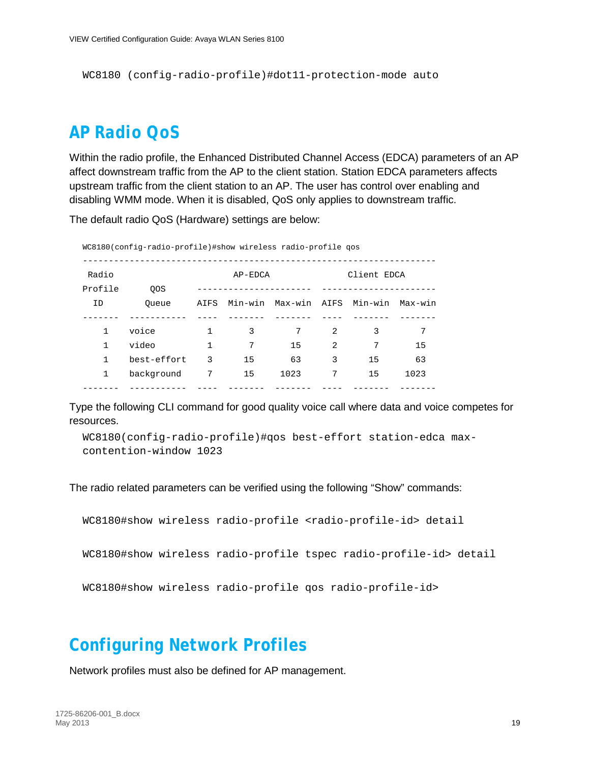WC8180 (config-radio-profile)#dot11-protection-mode auto

### <span id="page-18-0"></span>*AP Radio QoS*

Within the radio profile, the Enhanced Distributed Channel Access (EDCA) parameters of an AP affect downstream traffic from the AP to the client station. Station EDCA parameters affects upstream traffic from the client station to an AP. The user has control over enabling and disabling WMM mode. When it is disabled, QoS only applies to downstream traffic.

The default radio QoS (Hardware) settings are below:

| WC8180(config-radio-profile)#show wireless radio-profile qos |             |                        |         |                      |   |    |         |
|--------------------------------------------------------------|-------------|------------------------|---------|----------------------|---|----|---------|
| Radio                                                        |             | Client EDCA<br>AP-EDCA |         |                      |   |    |         |
| Profile                                                      | <b>OOS</b>  |                        |         |                      |   |    |         |
| ID                                                           | Oueue       | AIFS                   | Min-win | Max-win AIFS Min-win |   |    | Max-win |
|                                                              |             |                        |         |                      |   |    |         |
|                                                              | voice       |                        | 3       | 7                    | 2 | 3  | 7       |
| 1                                                            | video       | 1                      | 7       | 15                   | 2 | 7  | 15      |
|                                                              | best-effort | 3                      | 15      | 63                   | 3 | 15 | 63      |
|                                                              | background  | 7                      | 15      | 1023                 | 7 | 15 | 1023    |
|                                                              |             |                        |         |                      |   |    |         |

Type the following CLI command for good quality voice call where data and voice competes for resources.

```
WC8180(config-radio-profile)#qos best-effort station-edca max-
contention-window 1023
```
The radio related parameters can be verified using the following "Show" commands:

```
WC8180#show wireless radio-profile <radio-profile-id> detail
WC8180#show wireless radio-profile tspec radio-profile-id> detail
WC8180#show wireless radio-profile qos radio-profile-id>
```
### <span id="page-18-1"></span>*Configuring Network Profiles*

Network profiles must also be defined for AP management.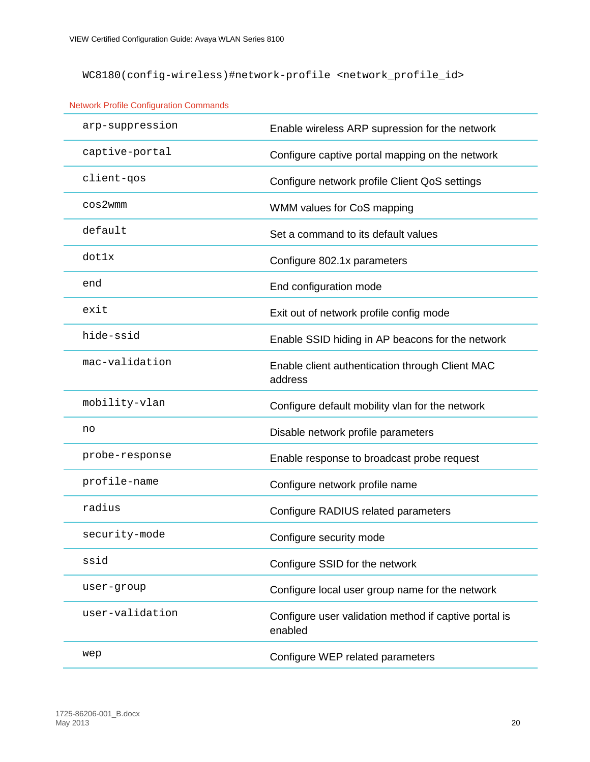WC8180(config-wireless)#network-profile <network\_profile\_id>

| arp-suppression | Enable wireless ARP supression for the network                   |
|-----------------|------------------------------------------------------------------|
| captive-portal  | Configure captive portal mapping on the network                  |
| client-qos      | Configure network profile Client QoS settings                    |
| $cos2$ wmm      | WMM values for CoS mapping                                       |
| default         | Set a command to its default values                              |
| dot1x           | Configure 802.1x parameters                                      |
| end             | End configuration mode                                           |
| exit            | Exit out of network profile config mode                          |
| hide-ssid       | Enable SSID hiding in AP beacons for the network                 |
| mac-validation  | Enable client authentication through Client MAC<br>address       |
| mobility-vlan   | Configure default mobility vlan for the network                  |
| no              | Disable network profile parameters                               |
| probe-response  | Enable response to broadcast probe request                       |
| profile-name    | Configure network profile name                                   |
| radius          | Configure RADIUS related parameters                              |
| security-mode   | Configure security mode                                          |
| ssid            | Configure SSID for the network                                   |
| user-group      | Configure local user group name for the network                  |
| user-validation | Configure user validation method if captive portal is<br>enabled |
| wep             | Configure WEP related parameters                                 |

Network Profile Configuration Commands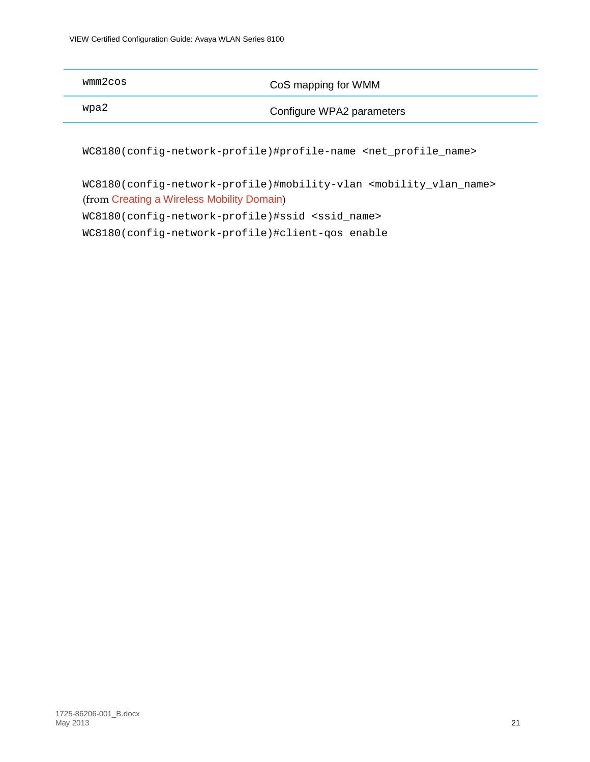| wmm2cos | CoS mapping for WMM       |
|---------|---------------------------|
| wpa2    | Configure WPA2 parameters |
|         |                           |

WC8180(config-network-profile)#profile-name <net\_profile\_name>

WC8180(config-network-profile)#mobility-vlan <mobility\_vlan\_name> (from [Creating a Wireless Mobility Domain](#page-9-0)) WC8180(config-network-profile)#ssid <ssid\_name> WC8180(config-network-profile)#client-qos enable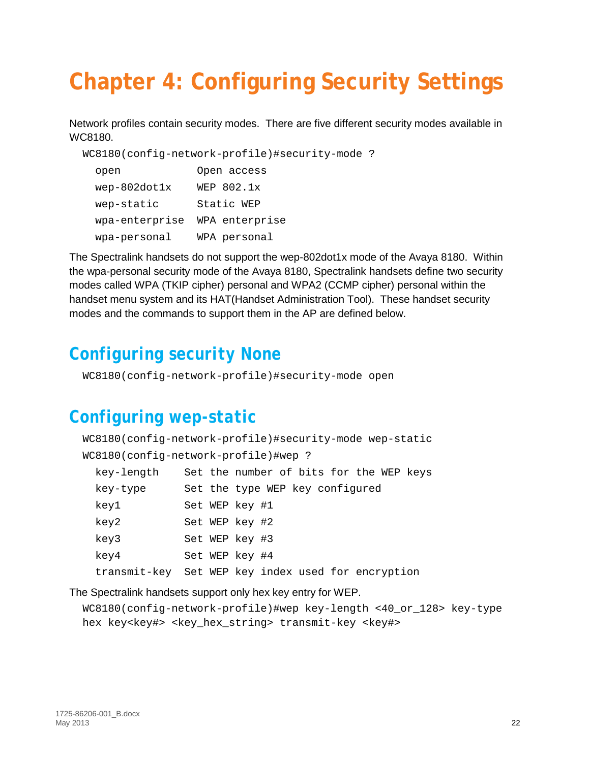# <span id="page-21-0"></span>**Chapter 4: Configuring Security Settings**

Network profiles contain security modes. There are five different security modes available in WC8180.

```
WC8180(config-network-profile)#security-mode ?
```

| open           | Open access    |
|----------------|----------------|
| $wep-802dot1x$ | WEP 802.1x     |
| wep-static     | Static WEP     |
| wpa-enterprise | WPA enterprise |
| wpa-personal   | WPA personal   |

The Spectralink handsets do not support the wep-802dot1x mode of the Avaya 8180. Within the wpa-personal security mode of the Avaya 8180, Spectralink handsets define two security modes called WPA (TKIP cipher) personal and WPA2 (CCMP cipher) personal within the handset menu system and its HAT(Handset Administration Tool). These handset security modes and the commands to support them in the AP are defined below.

## <span id="page-21-1"></span>*Configuring security None*

<span id="page-21-2"></span>WC8180(config-network-profile)#security-mode open

### *Configuring wep-static*

|            | WC8180(config-network-profile)#security-mode wep-static |
|------------|---------------------------------------------------------|
|            | WC8180(config-network-profile)#wep ?                    |
| key-length | Set the number of bits for the WEP keys                 |
| key-type   | Set the type WEP key configured                         |
| key1       | Set WEP key #1                                          |
| key2       | Set WEP key #2                                          |
| key3       | Set WEP key #3                                          |
| key4       | Set WEP key #4                                          |
|            | transmit-key Set WEP key index used for encryption      |

The Spectralink handsets support only hex key entry for WEP.

```
WC8180(config-network-profile)#wep key-length <40_or_128> key-type 
hex key<key#> <key_hex_string> transmit-key <key#>
```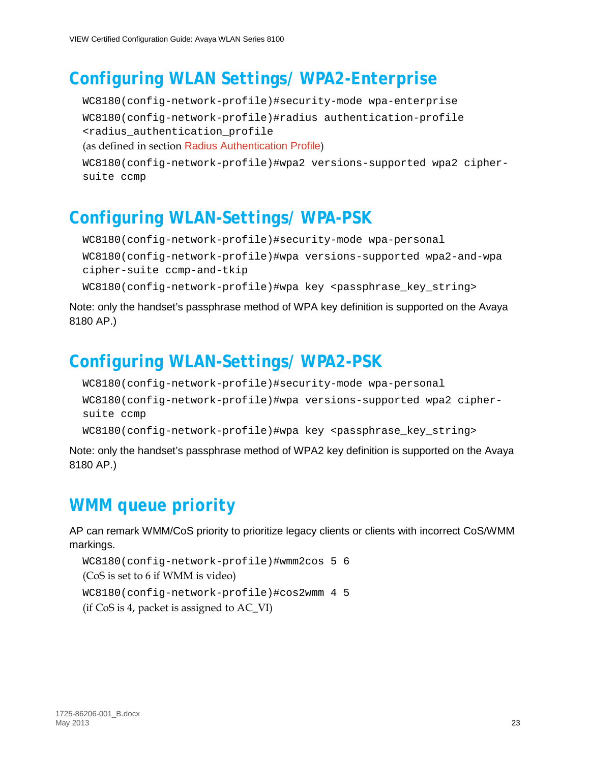### <span id="page-22-0"></span>*Configuring WLAN Settings/ WPA2-Enterprise*

WC8180(config-network-profile)#security-mode wpa-enterprise WC8180(config-network-profile)#radius authentication-profile <radius\_authentication\_profile (as defined in section [Radius Authentication Profile](#page-14-1))

```
WC8180(config-network-profile)#wpa2 versions-supported wpa2 cipher-
suite ccmp
```
# <span id="page-22-1"></span>*Configuring WLAN-Settings/ WPA-PSK*

```
WC8180(config-network-profile)#security-mode wpa-personal
WC8180(config-network-profile)#wpa versions-supported wpa2-and-wpa 
cipher-suite ccmp-and-tkip
WC8180(config-network-profile)#wpa key <passphrase_key_string>
```
Note: only the handset's passphrase method of WPA key definition is supported on the Avaya 8180 AP.)

## <span id="page-22-2"></span>*Configuring WLAN-Settings/ WPA2-PSK*

```
WC8180(config-network-profile)#security-mode wpa-personal
WC8180(config-network-profile)#wpa versions-supported wpa2 cipher-
suite ccmp
WC8180(config-network-profile)#wpa key <passphrase_key_string>
```
Note: only the handset's passphrase method of WPA2 key definition is supported on the Avaya 8180 AP.)

# <span id="page-22-3"></span>*WMM queue priority*

AP can remark WMM/CoS priority to prioritize legacy clients or clients with incorrect CoS/WMM markings.

```
WC8180(config-network-profile)#wmm2cos 5 6
(CoS is set to 6 if WMM is video)
WC8180(config-network-profile)#cos2wmm 4 5
(if CoS is 4, packet is assigned to AC_VI)
```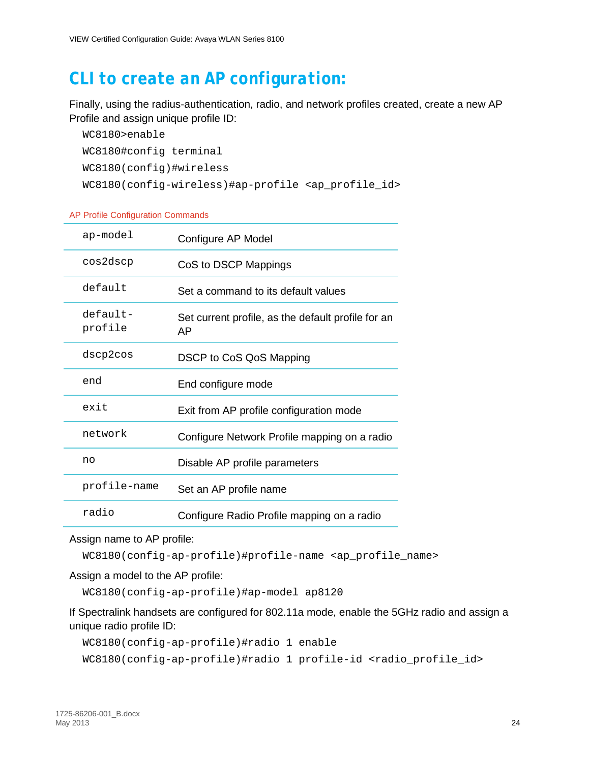### <span id="page-23-0"></span>*CLI to create an AP configuration:*

Finally, using the radius-authentication, radio, and network profiles created, create a new AP Profile and assign unique profile ID:

```
WC8180>enable
WC8180#config terminal
WC8180(config)#wireless
WC8180(config-wireless)#ap-profile <ap_profile_id>
```
#### AP Profile Configuration Commands

| ap-model              | Configure AP Model                                       |
|-----------------------|----------------------------------------------------------|
| cos2dscp              | CoS to DSCP Mappings                                     |
| default               | Set a command to its default values                      |
| $default-$<br>profile | Set current profile, as the default profile for an<br>AP |
| dscp2cos              | DSCP to CoS QoS Mapping                                  |
| end                   | End configure mode                                       |
| exit                  | Exit from AP profile configuration mode                  |
| network               | Configure Network Profile mapping on a radio             |
| no                    | Disable AP profile parameters                            |
| profile-name          | Set an AP profile name                                   |
| radio                 | Configure Radio Profile mapping on a radio               |

#### Assign name to AP profile:

WC8180(config-ap-profile)#profile-name <ap\_profile\_name>

Assign a model to the AP profile:

WC8180(config-ap-profile)#ap-model ap8120

If Spectralink handsets are configured for 802.11a mode, enable the 5GHz radio and assign a unique radio profile ID:

```
WC8180(config-ap-profile)#radio 1 enable
```
WC8180(config-ap-profile)#radio 1 profile-id <radio\_profile\_id>